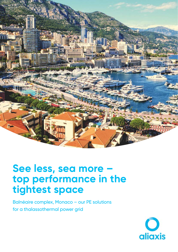

## **See less, sea more – top performance in the tightest space**

Balnéaire complex, Monaco – our PE solutions for a thalassothermal power grid

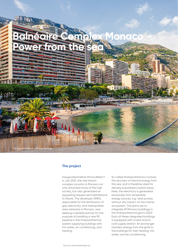

## **The project**

Inaugurated before Prince Albert II in July 2021, the new beach complex Larvotto in Monaco not only attracted many of the high society, but also generated an appealing request sent beforehand to Aliaxis. The developer SMEG, responsible for the distribution of gas, electricity, and metropolitan area networks in Monaco, was seeking a reliable partner for the purpose of installing a new PE pipeline in the thalassothermal system supplying buildings with hot water, air conditioning, and heating.

So called thalassothermics involves the recovery of thermal energy from the sea, and is therefore ideal for densely populated coastal areas. Here, the electricity is generated exclusively from renewable energy sources, e.g. heat pumps, without any impact on the marine ecosystem. The plans are to integrate 29 Monaco buildings in the thalassothermal grid in 2023.<sup>1</sup> Each of these integrated buildings is equipped with a heat and/or cold supply station. An exchanger transfers energy from the grids to the buildings for their heating, hot water, and air conditioning.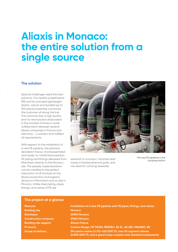## **Aliaxis in Monaco: the entire solution from a single source**

### **The solution**

Special challenges need the best solutions. Our quality polyethylene (PE) and its unrivaled lightweight, elastic, robust and durable (up to 100 years) properties convinced the customer all along the line. The outcome was a high quality end-to-end solution elaborated in the shortest of times in close collaboration between several Aliaxis companies in France and Germany – a solution that fulfilled all requirements.

With respect to the installation of a new PE pipeline, the planners decided in favour of preassembled and ready-to-install thermoplastic PE piping and fittings delivered from Mannheim directly to the Monaco site. The speedy implementation can be credited to the perfect interaction of all involved at the Aliaxis production and logistics divisions in Mannheim and on site in Monaco. Unlike steel piping, pipes, fittings, and valves of PE are



resistant to corrosion, minimise heat losses in thalassothermal grids, and are ideal for carrying seawater.

The new PE pipelines in the pumping station

### **The project at a glance**

**Building site Monaco Developer SMEG Monaco Construction company SMEG Monaco Building site support Aliaxis France** 

**Measure Installation of a new PE pipeline with PE pipes, fittings, and valves Products Custom flange, FIP FKOM, FRIATEC: SA XL, SA UNI, FRIAMAT, UB Scope of delivery 39 custom makes (d 315–630 SDR 17), over 20 segment elbows (d 500 SDR 17), and a great many couplers and standard components**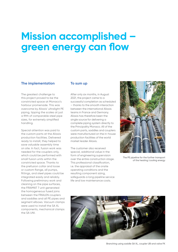# **Mission accomplished – green energy can flow**

#### **The implementation**

The greatest challenge to this project proved to be the constricted space at Monaco's harbour promenade. This was overcome by Aliaxis' ultralight PE piping, tipping the scales at just a fifth of comparable steel pipe sizes, for extremely simplified handling.

Special attention was paid to the custom parts at the Aliaxis production facilities. Delivered ready to install, they helped to save valuable assembly time on site. In fact, fusion work was needed for the couplers only, which could be performed with small fusion units within the constricted space. Thanks to the prefusion collar and loose or custom flange, all pumps, fittings, and steel pipes could be integrated easily and reliably. Following preliminary work and cleaning on the pipe surfaces, the FRIAMAT 7 unit generated the homogeneous fused joins between the FRIALEN couplers and saddles and all PE pipes and segment elbows. Vacuum clamps were used to install the SA XL components, mechanical clamps the SA UNI.

#### **To sum up**

After only six months, in August 2021, the project came to a successful completion as scheduled – thanks to the smooth interaction between the international Aliaxis teams in France and Germany. Aliaxis has therefore been the single source for delivering a complete piping system directly to the Principality Monaco. All of the custom parts, saddles and couplers were manufactured on the in-house production facilities of the world market leader Aliaxis.

The customer also received special, additional value in the form of engineering supervision over the entire construction stage. This professional classification, i.e. the appraisal of the onsite operating conditions and the resulting component sizing, safeguards a long pipeline service life and low maintenance costs.



The PE pipeline for the further transport of the heating/cooling energy

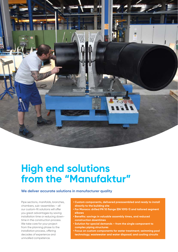

# **High end solutions from the "Manufaktur"**

### **We deliver accurate solutions in manufacturer quality**

Pipe sections, manifolds, branches, chambers, sub-assemblies – all our custom-fit solutions will offer you great advantages by saving installation time or reducing downtime in the construction process. We take care for your project from the planning phase to the installation process, offering decades of experience and unrivalled competence.

- **Custom components, delivered preassembled and ready to install directly to the building site**
- **For Monaco: drilled PN 10 flange (EN 1092-1) and tailored segment elbows**
- **Benefits: savings in valuable assembly times, and reduced construction downtimes**
- **Solution for special demands from the single component to complex piping structures**
- **Focus on custom components for water treatment; swimming pool technology; wastewater and water disposal; and cooling circuits**